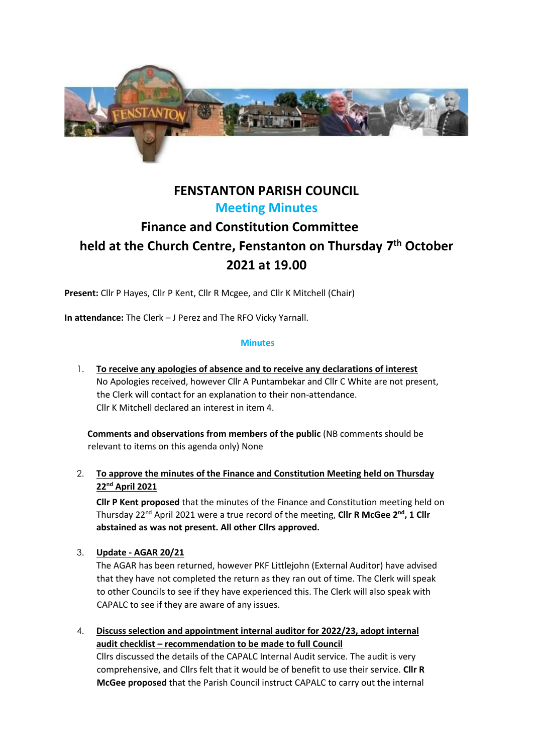

# **FENSTANTON PARISH COUNCIL Meeting Minutes**

# **Finance and Constitution Committee held at the Church Centre, Fenstanton on Thursday 7 th October 2021 at 19.00**

**Present:** Cllr P Hayes, Cllr P Kent, Cllr R Mcgee, and Cllr K Mitchell (Chair)

**In attendance:** The Clerk – J Perez and The RFO Vicky Yarnall.

#### **Minutes**

1. **To receive any apologies of absence and to receive any declarations of interest**  No Apologies received, however Cllr A Puntambekar and Cllr C White are not present, the Clerk will contact for an explanation to their non-attendance. Cllr K Mitchell declared an interest in item 4.

**Comments and observations from members of the public** (NB comments should be relevant to items on this agenda only) None

2. **To approve the minutes of the Finance and Constitution Meeting held on Thursday 22nd April 2021** 

**Cllr P Kent proposed** that the minutes of the Finance and Constitution meeting held on Thursday 22nd April 2021 were a true record of the meeting, **Cllr R McGee 2 nd, 1 Cllr abstained as was not present. All other Cllrs approved.**

3. **Update - AGAR 20/21**

The AGAR has been returned, however PKF Littlejohn (External Auditor) have advised that they have not completed the return as they ran out of time. The Clerk will speak to other Councils to see if they have experienced this. The Clerk will also speak with CAPALC to see if they are aware of any issues.

4. **Discuss selection and appointment internal auditor for 2022/23, adopt internal audit checklist – recommendation to be made to full Council** Cllrs discussed the details of the CAPALC Internal Audit service. The audit is very comprehensive, and Cllrs felt that it would be of benefit to use their service. **Cllr R McGee proposed** that the Parish Council instruct CAPALC to carry out the internal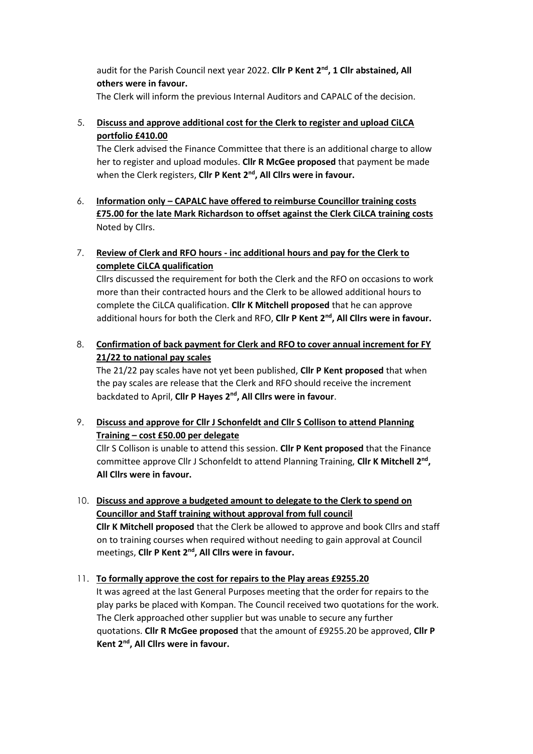audit for the Parish Council next year 2022. **Cllr P Kent 2nd, 1 Cllr abstained, All others were in favour.**

The Clerk will inform the previous Internal Auditors and CAPALC of the decision.

# 5. **Discuss and approve additional cost for the Clerk to register and upload CiLCA portfolio £410.00**

The Clerk advised the Finance Committee that there is an additional charge to allow her to register and upload modules. **Cllr R McGee proposed** that payment be made when the Clerk registers, **Cllr P Kent 2nd, All Cllrs were in favour.**

- 6. **Information only – CAPALC have offered to reimburse Councillor training costs £75.00 for the late Mark Richardson to offset against the Clerk CiLCA training costs** Noted by Cllrs.
- 7. **Review of Clerk and RFO hours - inc additional hours and pay for the Clerk to complete CiLCA qualification**

Cllrs discussed the requirement for both the Clerk and the RFO on occasions to work more than their contracted hours and the Clerk to be allowed additional hours to complete the CiLCA qualification. **Cllr K Mitchell proposed** that he can approve additional hours for both the Clerk and RFO, **Cllr P Kent 2nd, All Cllrs were in favour.**

8. **Confirmation of back payment for Clerk and RFO to cover annual increment for FY 21/22 to national pay scales**

The 21/22 pay scales have not yet been published, **Cllr P Kent proposed** that when the pay scales are release that the Clerk and RFO should receive the increment backdated to April, **Cllr P Hayes 2nd, All Cllrs were in favour**.

9. **Discuss and approve for Cllr J Schonfeldt and Cllr S Collison to attend Planning Training – cost £50.00 per delegate**

Cllr S Collison is unable to attend this session. **Cllr P Kent proposed** that the Finance committee approve Cllr J Schonfeldt to attend Planning Training, **Cllr K Mitchell 2nd , All Cllrs were in favour.**

- 10. **Discuss and approve a budgeted amount to delegate to the Clerk to spend on Councillor and Staff training without approval from full council Cllr K Mitchell proposed** that the Clerk be allowed to approve and book Cllrs and staff on to training courses when required without needing to gain approval at Council meetings, **Cllr P Kent 2nd, All Cllrs were in favour.**
- 11. **To formally approve the cost for repairs to the Play areas £9255.20** It was agreed at the last General Purposes meeting that the order for repairs to the play parks be placed with Kompan. The Council received two quotations for the work. The Clerk approached other supplier but was unable to secure any further quotations. **Cllr R McGee proposed** that the amount of £9255.20 be approved, **Cllr P Kent 2nd, All Cllrs were in favour.**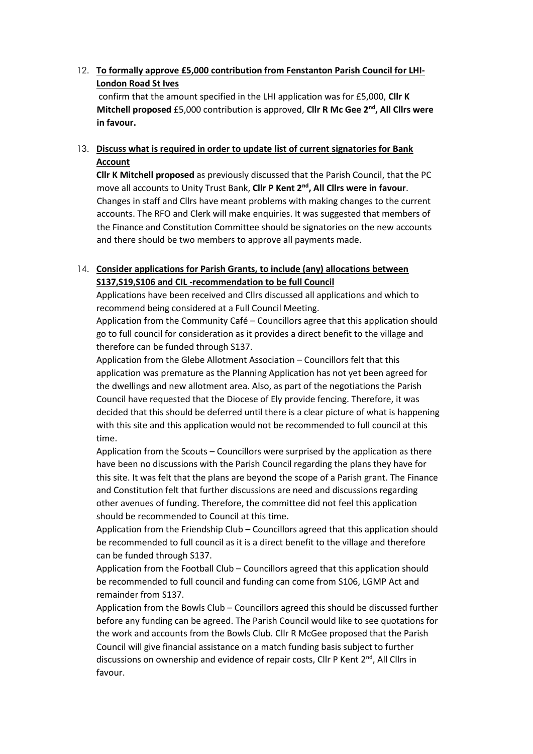## 12. **To formally approve £5,000 contribution from Fenstanton Parish Council for LHI-London Road St Ives**

confirm that the amount specified in the LHI application was for £5,000, **Cllr K Mitchell proposed** £5,000 contribution is approved, **Cllr R Mc Gee 2nd, All Cllrs were in favour.**

#### 13. **Discuss what is required in order to update list of current signatories for Bank Account**

**Cllr K Mitchell proposed** as previously discussed that the Parish Council, that the PC move all accounts to Unity Trust Bank, **Cllr P Kent 2nd, All Cllrs were in favour**. Changes in staff and Cllrs have meant problems with making changes to the current accounts. The RFO and Clerk will make enquiries. It was suggested that members of the Finance and Constitution Committee should be signatories on the new accounts and there should be two members to approve all payments made.

### 14. **Consider applications for Parish Grants, to include (any) allocations between S137,S19,S106 and CIL -recommendation to be full Council**

Applications have been received and Cllrs discussed all applications and which to recommend being considered at a Full Council Meeting.

Application from the Community Café – Councillors agree that this application should go to full council for consideration as it provides a direct benefit to the village and therefore can be funded through S137.

Application from the Glebe Allotment Association – Councillors felt that this application was premature as the Planning Application has not yet been agreed for the dwellings and new allotment area. Also, as part of the negotiations the Parish Council have requested that the Diocese of Ely provide fencing. Therefore, it was decided that this should be deferred until there is a clear picture of what is happening with this site and this application would not be recommended to full council at this time.

Application from the Scouts – Councillors were surprised by the application as there have been no discussions with the Parish Council regarding the plans they have for this site. It was felt that the plans are beyond the scope of a Parish grant. The Finance and Constitution felt that further discussions are need and discussions regarding other avenues of funding. Therefore, the committee did not feel this application should be recommended to Council at this time.

Application from the Friendship Club – Councillors agreed that this application should be recommended to full council as it is a direct benefit to the village and therefore can be funded through S137.

Application from the Football Club – Councillors agreed that this application should be recommended to full council and funding can come from S106, LGMP Act and remainder from S137.

Application from the Bowls Club – Councillors agreed this should be discussed further before any funding can be agreed. The Parish Council would like to see quotations for the work and accounts from the Bowls Club. Cllr R McGee proposed that the Parish Council will give financial assistance on a match funding basis subject to further discussions on ownership and evidence of repair costs, Cllr P Kent 2<sup>nd</sup>, All Cllrs in favour.